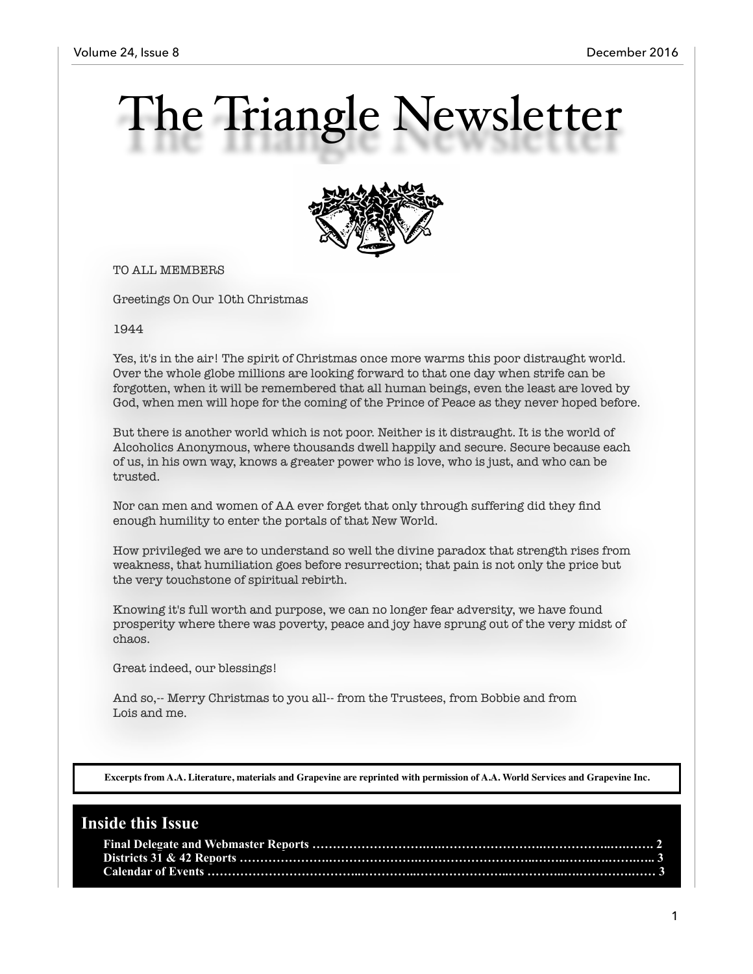# The Triangle Newsletter



TO ALL MEMBERS

Greetings On Our 10th Christmas

1944

Yes, it's in the air! The spirit of Christmas once more warms this poor distraught world. Over the whole globe millions are looking forward to that one day when strife can be forgotten, when it will be remembered that all human beings, even the least are loved by God, when men will hope for the coming of the Prince of Peace as they never hoped before.

But there is another world which is not poor. Neither is it distraught. It is the world of Alcoholics Anonymous, where thousands dwell happily and secure. Secure because each of us, in his own way, knows a greater power who is love, who is just, and who can be trusted.

Nor can men and women of AA ever forget that only through suffering did they find enough humility to enter the portals of that New World.

How privileged we are to understand so well the divine paradox that strength rises from weakness, that humiliation goes before resurrection; that pain is not only the price but the very touchstone of spiritual rebirth.

Knowing it's full worth and purpose, we can no longer fear adversity, we have found prosperity where there was poverty, peace and joy have sprung out of the very midst of chaos.

Great indeed, our blessings!

And so,-- Merry Christmas to you all-- from the Trustees, from Bobbie and from Lois and me.

**Excerpts from A.A. Literature, materials and Grapevine are reprinted with permission of A.A. World Services and Grapevine Inc.**

#### **Inside this Issue**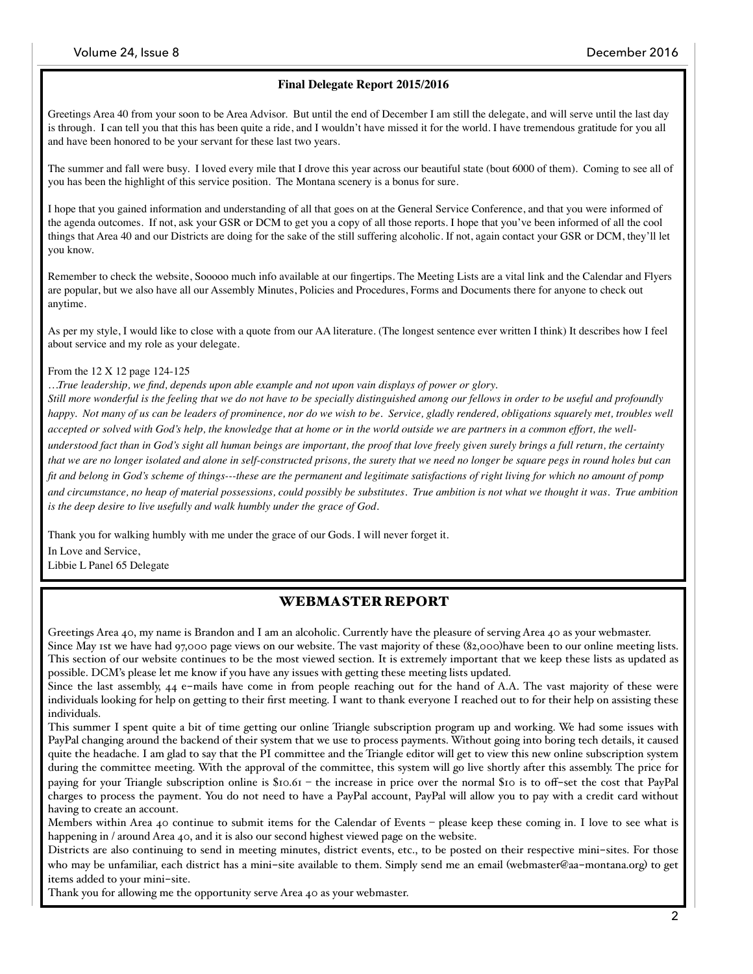#### **Final Delegate Report 2015/2016**

Greetings Area 40 from your soon to be Area Advisor. But until the end of December I am still the delegate, and will serve until the last day is through. I can tell you that this has been quite a ride, and I wouldn't have missed it for the world. I have tremendous gratitude for you all and have been honored to be your servant for these last two years.

The summer and fall were busy. I loved every mile that I drove this year across our beautiful state (bout 6000 of them). Coming to see all of you has been the highlight of this service position. The Montana scenery is a bonus for sure.

I hope that you gained information and understanding of all that goes on at the General Service Conference, and that you were informed of the agenda outcomes. If not, ask your GSR or DCM to get you a copy of all those reports. I hope that you've been informed of all the cool things that Area 40 and our Districts are doing for the sake of the still suffering alcoholic. If not, again contact your GSR or DCM, they'll let you know.

Remember to check the website, Sooooo much info available at our fingertips. The Meeting Lists are a vital link and the Calendar and Flyers are popular, but we also have all our Assembly Minutes, Policies and Procedures, Forms and Documents there for anyone to check out anytime.

As per my style, I would like to close with a quote from our AA literature. (The longest sentence ever written I think) It describes how I feel about service and my role as your delegate.

#### From the 12 X 12 page 124-125

*…True leadership, we find, depends upon able example and not upon vain displays of power or glory.*

*Still more wonderful is the feeling that we do not have to be specially distinguished among our fellows in order to be useful and profoundly happy. Not many of us can be leaders of prominence, nor do we wish to be. Service, gladly rendered, obligations squarely met, troubles well accepted or solved with God's help, the knowledge that at home or in the world outside we are partners in a common effort, the well-*

*understood fact than in God's sight all human beings are important, the proof that love freely given surely brings a full return, the certainty that we are no longer isolated and alone in self-constructed prisons, the surety that we need no longer be square pegs in round holes but can fit and belong in God's scheme of things---these are the permanent and legitimate satisfactions of right living for which no amount of pomp*  and circumstance, no heap of material possessions, could possibly be substitutes. True ambition is not what we thought it was. True ambition *is the deep desire to live usefully and walk humbly under the grace of God.*

Thank you for walking humbly with me under the grace of our Gods. I will never forget it. In Love and Service,

Libbie L Panel 65 Delegate

#### WEBMASTER REPORT

Greetings Area 40, my name is Brandon and I am an alcoholic. Currently have the pleasure of serving Area 40 as your webmaster. Since May 1st we have had 97,000 page views on our website. The vast majority of these (82,000)have been to our online meeting lists. This section of our website continues to be the most viewed section. It is extremely important that we keep these lists as updated as possible. DCM's please let me know if you have any issues with getting these meeting lists updated.

Since the last assembly, 44 e-mails have come in from people reaching out for the hand of A.A. The vast majority of these were individuals looking for help on getting to their first meeting. I want to thank everyone I reached out to for their help on assisting these individuals.

This summer I spent quite a bit of time getting our online Triangle subscription program up and working. We had some issues with PayPal changing around the backend of their system that we use to process payments. Without going into boring tech details, it caused quite the headache. I am glad to say that the PI committee and the Triangle editor will get to view this new online subscription system during the committee meeting. With the approval of the committee, this system will go live shortly after this assembly. The price for paying for your Triangle subscription online is \$10.61 – the increase in price over the normal \$10 is to off-set the cost that PayPal charges to process the payment. You do not need to have a PayPal account, PayPal will allow you to pay with a credit card without having to create an account.

Members within Area 40 continue to submit items for the Calendar of Events – please keep these coming in. I love to see what is happening in / around Area 40, and it is also our second highest viewed page on the website.

Districts are also continuing to send in meeting minutes, district events, etc., to be posted on their respective mini-sites. For those who may be unfamiliar, each district has a mini-site available to them. Simply send me an email (webmaster@aa-montana.org) to get items added to your mini-site.

Thank you for allowing me the opportunity serve Area 40 as your webmaster.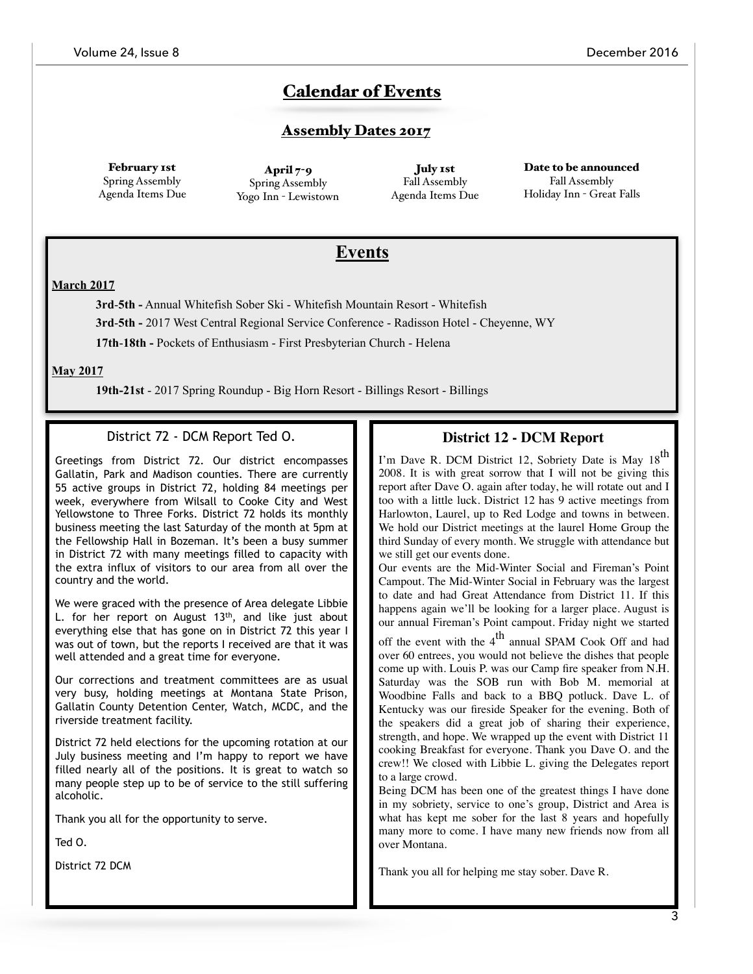# Calendar of Events

### **Assembly Dates 2017**

February 1st Spring Assembly Agenda Items Due

April  $7-9$ Spring Assembly Yogo Inn - Lewistown

July 1st Fall Assembly Agenda Items Due

Date to be announced Fall Assembly Holiday Inn - Great Falls

# **Events**

#### **March 2017**

**3rd**-**5th -** Annual Whitefish Sober Ski - Whitefish Mountain Resort - Whitefish

**3rd**-**5th -** 2017 West Central Regional Service Conference - Radisson Hotel - Cheyenne, WY

**17th**-**18th -** Pockets of Enthusiasm - First Presbyterian Church - Helena

**May 2017**

**19th-21st** - 2017 Spring Roundup - Big Horn Resort - Billings Resort - Billings

#### District 72 - DCM Report Ted O.

Greetings from District 72. Our district encompasses Gallatin, Park and Madison counties. There are currently 55 active groups in District 72, holding 84 meetings per week, everywhere from Wilsall to Cooke City and West Yellowstone to Three Forks. District 72 holds its monthly business meeting the last Saturday of the month at 5pm at the Fellowship Hall in Bozeman. It's been a busy summer in District 72 with many meetings filled to capacity with the extra influx of visitors to our area from all over the country and the world.

We were graced with the presence of Area delegate Libbie L. for her report on August  $13<sup>th</sup>$ , and like just about everything else that has gone on in District 72 this year I was out of town, but the reports I received are that it was well attended and a great time for everyone.

Our corrections and treatment committees are as usual very busy, holding meetings at Montana State Prison, Gallatin County Detention Center, Watch, MCDC, and the riverside treatment facility.

District 72 held elections for the upcoming rotation at our July business meeting and I'm happy to report we have filled nearly all of the positions. It is great to watch so many people step up to be of service to the still suffering alcoholic.

Thank you all for the opportunity to serve.

Ted O.

District 72 DCM

### **District 12 - DCM Report**

I'm Dave R. DCM District 12, Sobriety Date is May 18<sup>th</sup> 2008. It is with great sorrow that I will not be giving this report after Dave O. again after today, he will rotate out and I too with a little luck. District 12 has 9 active meetings from Harlowton, Laurel, up to Red Lodge and towns in between. We hold our District meetings at the laurel Home Group the third Sunday of every month. We struggle with attendance but we still get our events done.

Our events are the Mid-Winter Social and Fireman's Point Campout. The Mid-Winter Social in February was the largest to date and had Great Attendance from District 11. If this happens again we'll be looking for a larger place. August is our annual Fireman's Point campout. Friday night we started

off the event with the  $4<sup>th</sup>$  annual SPAM Cook Off and had over 60 entrees, you would not believe the dishes that people come up with. Louis P. was our Camp fire speaker from N.H. Saturday was the SOB run with Bob M. memorial at Woodbine Falls and back to a BBQ potluck. Dave L. of Kentucky was our fireside Speaker for the evening. Both of the speakers did a great job of sharing their experience, strength, and hope. We wrapped up the event with District 11 cooking Breakfast for everyone. Thank you Dave O. and the crew!! We closed with Libbie L. giving the Delegates report to a large crowd.

Being DCM has been one of the greatest things I have done in my sobriety, service to one's group, District and Area is what has kept me sober for the last 8 years and hopefully many more to come. I have many new friends now from all over Montana.

Thank you all for helping me stay sober. Dave R.